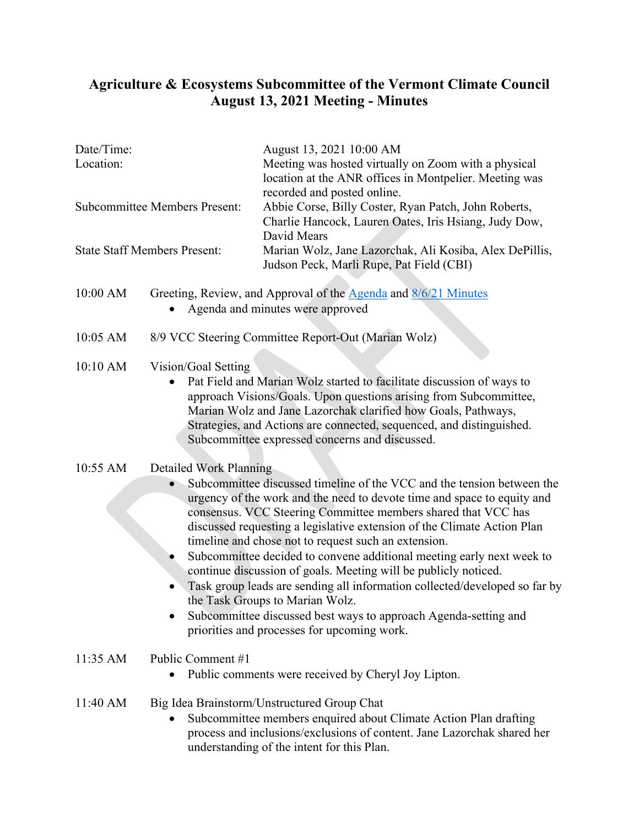## **Agriculture & Ecosystems Subcommittee of the Vermont Climate Council August 13, 2021 Meeting - Minutes**

| Date/Time:<br>Location:              |                                                                                                                                                                                                                                                                                                                                                                                                                                                                                                                                                                                                                                                                                                                                                                                    | August 13, 2021 10:00 AM<br>Meeting was hosted virtually on Zoom with a physical<br>location at the ANR offices in Montpelier. Meeting was<br>recorded and posted online.<br>Abbie Corse, Billy Coster, Ryan Patch, John Roberts,<br>Charlie Hancock, Lauren Oates, Iris Hsiang, Judy Dow,<br>David Mears |
|--------------------------------------|------------------------------------------------------------------------------------------------------------------------------------------------------------------------------------------------------------------------------------------------------------------------------------------------------------------------------------------------------------------------------------------------------------------------------------------------------------------------------------------------------------------------------------------------------------------------------------------------------------------------------------------------------------------------------------------------------------------------------------------------------------------------------------|-----------------------------------------------------------------------------------------------------------------------------------------------------------------------------------------------------------------------------------------------------------------------------------------------------------|
| <b>Subcommittee Members Present:</b> |                                                                                                                                                                                                                                                                                                                                                                                                                                                                                                                                                                                                                                                                                                                                                                                    |                                                                                                                                                                                                                                                                                                           |
| <b>State Staff Members Present:</b>  |                                                                                                                                                                                                                                                                                                                                                                                                                                                                                                                                                                                                                                                                                                                                                                                    | Marian Wolz, Jane Lazorchak, Ali Kosiba, Alex DePillis,<br>Judson Peck, Marli Rupe, Pat Field (CBI)                                                                                                                                                                                                       |
| 10:00 AM                             | Greeting, Review, and Approval of the <b>Agenda</b> and 8/6/21 Minutes<br>Agenda and minutes were approved                                                                                                                                                                                                                                                                                                                                                                                                                                                                                                                                                                                                                                                                         |                                                                                                                                                                                                                                                                                                           |
| 10:05 AM                             | 8/9 VCC Steering Committee Report-Out (Marian Wolz)                                                                                                                                                                                                                                                                                                                                                                                                                                                                                                                                                                                                                                                                                                                                |                                                                                                                                                                                                                                                                                                           |
| 10:10 AM                             | Vision/Goal Setting<br>Pat Field and Marian Wolz started to facilitate discussion of ways to<br>approach Visions/Goals. Upon questions arising from Subcommittee,<br>Marian Wolz and Jane Lazorchak clarified how Goals, Pathways,<br>Strategies, and Actions are connected, sequenced, and distinguished.<br>Subcommittee expressed concerns and discussed.                                                                                                                                                                                                                                                                                                                                                                                                                       |                                                                                                                                                                                                                                                                                                           |
| 10:55 AM                             | <b>Detailed Work Planning</b><br>Subcommittee discussed timeline of the VCC and the tension between the<br>urgency of the work and the need to devote time and space to equity and<br>consensus. VCC Steering Committee members shared that VCC has<br>discussed requesting a legislative extension of the Climate Action Plan<br>timeline and chose not to request such an extension.<br>Subcommittee decided to convene additional meeting early next week to<br>continue discussion of goals. Meeting will be publicly noticed.<br>Task group leads are sending all information collected/developed so far by<br>the Task Groups to Marian Wolz.<br>Subcommittee discussed best ways to approach Agenda-setting and<br>$\bullet$<br>priorities and processes for upcoming work. |                                                                                                                                                                                                                                                                                                           |
| 11:35 AM                             | Public Comment #1<br>Public comments were received by Cheryl Joy Lipton.                                                                                                                                                                                                                                                                                                                                                                                                                                                                                                                                                                                                                                                                                                           |                                                                                                                                                                                                                                                                                                           |
| 11:40 AM                             |                                                                                                                                                                                                                                                                                                                                                                                                                                                                                                                                                                                                                                                                                                                                                                                    | Big Idea Brainstorm/Unstructured Group Chat<br>Subcommittee members enquired about Climate Action Plan drafting<br>process and inclusions/exclusions of content. Jane Lazorchak shared her<br>understanding of the intent for this Plan.                                                                  |